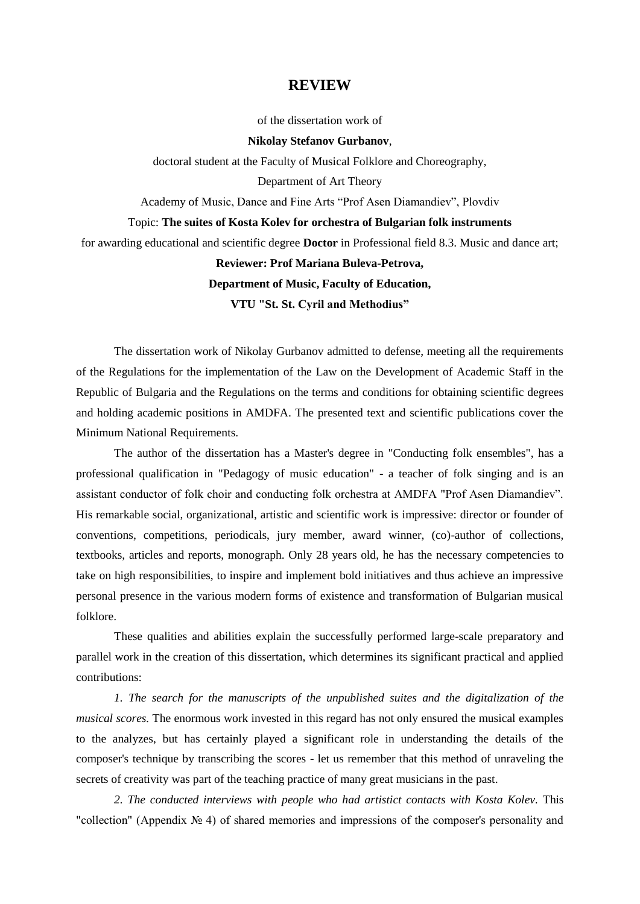## **REVIEW**

of the dissertation work of

## **Nikolay Stefanov Gurbanov**,

doctoral student at the Faculty of Musical Folklore and Choreography,

Department of Art Theory

Academy of Music, Dance and Fine Arts "Prof Asen Diamandiev", Plovdiv

## Topic: **The suites of Kosta Kolev for orchestra of Bulgarian folk instruments**

for awarding educational and scientific degree **Doctor** in Professional field 8.3. Music and dance art;

## **Reviewer: Prof Mariana Buleva-Petrova, Department of Music, Faculty of Education,**

**VTU "St. St. Cyril and Methodius"**

The dissertation work of Nikolay Gurbanov admitted to defense, meeting all the requirements of the Regulations for the implementation of the Law on the Development of Academic Staff in the Republic of Bulgaria and the Regulations on the terms and conditions for obtaining scientific degrees and holding academic positions in AMDFA. The presented text and scientific publications cover the Minimum National Requirements.

The author of the dissertation has a Master's degree in "Conducting folk ensembles", has a professional qualification in "Pedagogy of music education" - a teacher of folk singing and is an assistant conductor of folk choir and conducting folk orchestra at AMDFA "Prof Asen Diamandiev". His remarkable social, organizational, artistic and scientific work is impressive: director or founder of conventions, competitions, periodicals, jury member, award winner, (co)-author of collections, textbooks, articles and reports, monograph. Only 28 years old, he has the necessary competencies to take on high responsibilities, to inspire and implement bold initiatives and thus achieve an impressive personal presence in the various modern forms of existence and transformation of Bulgarian musical folklore.

These qualities and abilities explain the successfully performed large-scale preparatory and parallel work in the creation of this dissertation, which determines its significant practical and applied contributions:

*1. The search for the manuscripts of the unpublished suites and the digitalization of the musical scores.* The enormous work invested in this regard has not only ensured the musical examples to the analyzes, but has certainly played a significant role in understanding the details of the composer's technique by transcribing the scores - let us remember that this method of unraveling the secrets of creativity was part of the teaching practice of many great musicians in the past.

*2. The conducted interviews with people who had artistict contacts with Kosta Kolev.* This "collection" (Appendix № 4) of shared memories and impressions of the composer's personality and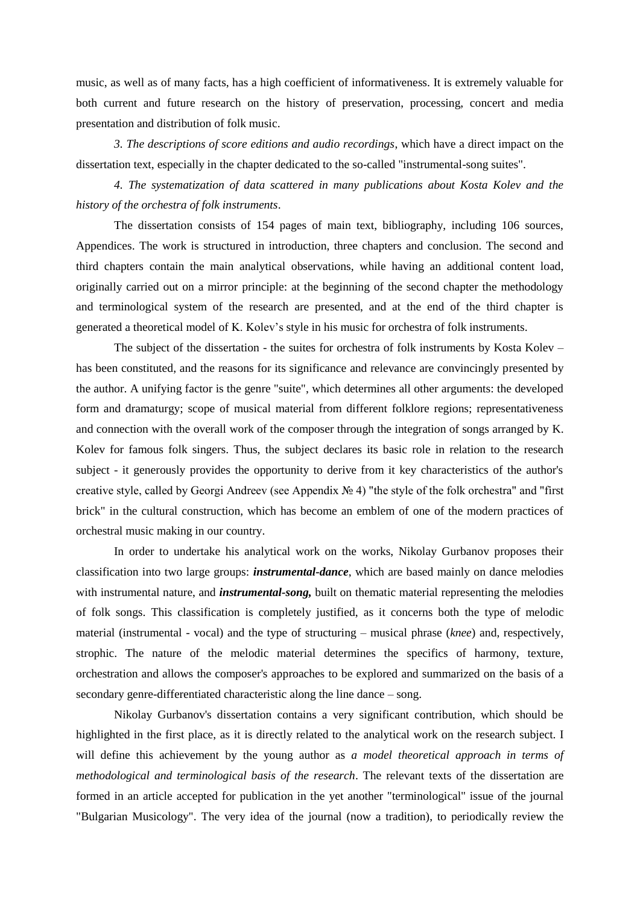music, as well as of many facts, has a high coefficient of informativeness. It is extremely valuable for both current and future research on the history of preservation, processing, concert and media presentation and distribution of folk music.

*3. The descriptions of score editions and audio recordings*, which have a direct impact on the dissertation text, especially in the chapter dedicated to the so-called "instrumental-song suites".

*4. The systematization of data scattered in many publications about Kosta Kolev and the history of the orchestra of folk instruments*.

The dissertation consists of 154 pages of main text, bibliography, including 106 sources, Appendices. The work is structured in introduction, three chapters and conclusion. The second and third chapters contain the main analytical observations, while having an additional content load, originally carried out on a mirror principle: at the beginning of the second chapter the methodology and terminological system of the research are presented, and at the end of the third chapter is generated a theoretical model of K. Kolev's style in his music for orchestra of folk instruments.

The subject of the dissertation - the suites for orchestra of folk instruments by Kosta Kolev – has been constituted, and the reasons for its significance and relevance are convincingly presented by the author. A unifying factor is the genre "suite", which determines all other arguments: the developed form and dramaturgy; scope of musical material from different folklore regions; representativeness and connection with the overall work of the composer through the integration of songs arranged by K. Kolev for famous folk singers. Thus, the subject declares its basic role in relation to the research subject - it generously provides the opportunity to derive from it key characteristics of the author's creative style, called by Georgi Andreev (see Appendix № 4) "the style of the folk orchestra" and "first brick" in the cultural construction, which has become an emblem of one of the modern practices of orchestral music making in our country.

In order to undertake his analytical work on the works, Nikolay Gurbanov proposes their classification into two large groups: *instrumental-dance*, which are based mainly on dance melodies with instrumental nature, and *instrumental-song,* built on thematic material representing the melodies of folk songs. This classification is completely justified, as it concerns both the type of melodic material (instrumental - vocal) and the type of structuring – musical phrase (*knee*) and, respectively, strophic. The nature of the melodic material determines the specifics of harmony, texture, orchestration and allows the composer's approaches to be explored and summarized on the basis of a secondary genre-differentiated characteristic along the line dance – song.

Nikolay Gurbanov's dissertation contains a very significant contribution, which should be highlighted in the first place, as it is directly related to the analytical work on the research subject. I will define this achievement by the young author as *a model theoretical approach in terms of methodological and terminological basis of the research*. The relevant texts of the dissertation are formed in an article accepted for publication in the yet another "terminological" issue of the journal "Bulgarian Musicology". The very idea of the journal (now a tradition), to periodically review the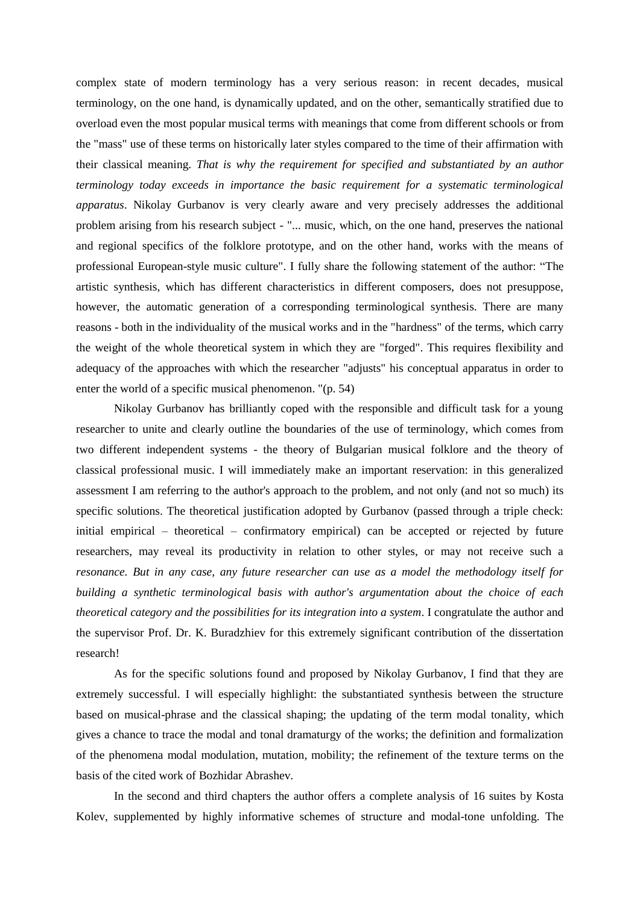complex state of modern terminology has a very serious reason: in recent decades, musical terminology, on the one hand, is dynamically updated, and on the other, semantically stratified due to overload even the most popular musical terms with meanings that come from different schools or from the "mass" use of these terms on historically later styles compared to the time of their affirmation with their classical meaning. *That is why the requirement for specified and substantiated by an author terminology today exceeds in importance the basic requirement for a systematic terminological apparatus*. Nikolay Gurbanov is very clearly aware and very precisely addresses the additional problem arising from his research subject - "... music, which, on the one hand, preserves the national and regional specifics of the folklore prototype, and on the other hand, works with the means of professional European-style music culture". I fully share the following statement of the author: "The artistic synthesis, which has different characteristics in different composers, does not presuppose, however, the automatic generation of a corresponding terminological synthesis. There are many reasons - both in the individuality of the musical works and in the "hardness" of the terms, which carry the weight of the whole theoretical system in which they are "forged". This requires flexibility and adequacy of the approaches with which the researcher "adjusts" his conceptual apparatus in order to enter the world of a specific musical phenomenon. "(p. 54)

Nikolay Gurbanov has brilliantly coped with the responsible and difficult task for a young researcher to unite and clearly outline the boundaries of the use of terminology, which comes from two different independent systems - the theory of Bulgarian musical folklore and the theory of classical professional music. I will immediately make an important reservation: in this generalized assessment I am referring to the author's approach to the problem, and not only (and not so much) its specific solutions. The theoretical justification adopted by Gurbanov (passed through a triple check: initial empirical – theoretical – confirmatory empirical) can be accepted or rejected by future researchers, may reveal its productivity in relation to other styles, or may not receive such a *resonance. But in any case, any future researcher can use as a model the methodology itself for building a synthetic terminological basis with author's argumentation about the choice of each theoretical category and the possibilities for its integration into a system*. I congratulate the author and the supervisor Prof. Dr. K. Buradzhiev for this extremely significant contribution of the dissertation research!

As for the specific solutions found and proposed by Nikolay Gurbanov, I find that they are extremely successful. I will especially highlight: the substantiated synthesis between the structure based on musical-phrase and the classical shaping; the updating of the term modal tonality, which gives a chance to trace the modal and tonal dramaturgy of the works; the definition and formalization of the phenomena modal modulation, mutation, mobility; the refinement of the texture terms on the basis of the cited work of Bozhidar Abrashev.

In the second and third chapters the author offers a complete analysis of 16 suites by Kosta Kolev, supplemented by highly informative schemes of structure and modal-tone unfolding. The